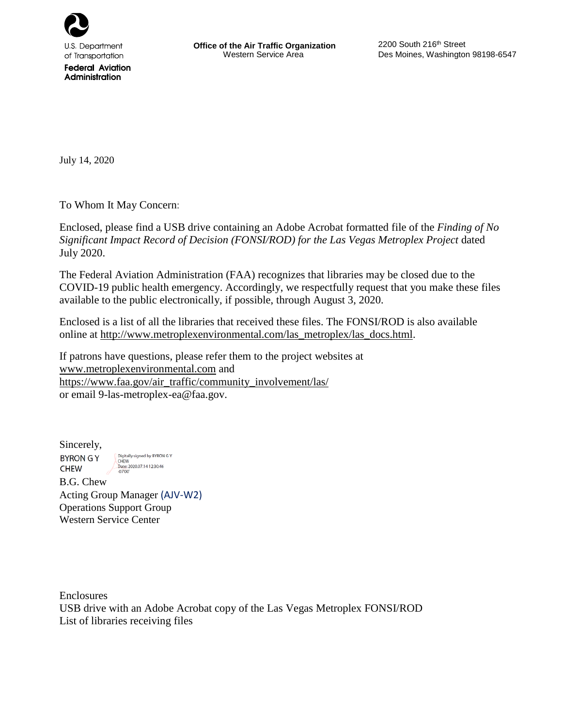

of Transportation **Federal Aviation** Administration

July 14, 2020

To Whom It May Concern:

Enclosed, please find a USB drive containing an Adobe Acrobat formatted file of the *Finding of No Significant Impact Record of Decision (FONSI/ROD) for the Las Vegas Metroplex Project* dated July 2020.

The Federal Aviation Administration (FAA) recognizes that libraries may be closed due to the COVID-19 public health emergency. Accordingly, we respectfully request that you make these files available to the public electronically, if possible, through August 3, 2020.

Enclosed is a list of all the libraries that received these files. The FONSI/ROD is also available online at [http://www.metroplexenvironmental.com/las\\_metroplex/las\\_docs.html.](http://www.metroplexenvironmental.com/las_metroplex/las_docs.html)

If patrons have questions, please refer them to the project websites at [www.metroplexenvironmental.com](http://www.metroplexenvironmental.com/) and [https://www.faa.gov/air\\_traffic/community\\_involvement/las/](https://www.faa.gov/air_traffic/community_involvement/las/) or email 9-las-metroplex-ea@faa.gov.

Sincerely, Digitally signed by BYRON G Y<br>CHEW<br>Date: 2020.07.14 12:30:46<br>-07'00' **BYRON GY CHEW** 

B.G. Chew Acting Group Manager (AJV-W2) Operations Support Group Western Service Center

Enclosures USB drive with an Adobe Acrobat copy of the Las Vegas Metroplex FONSI/ROD List of libraries receiving files